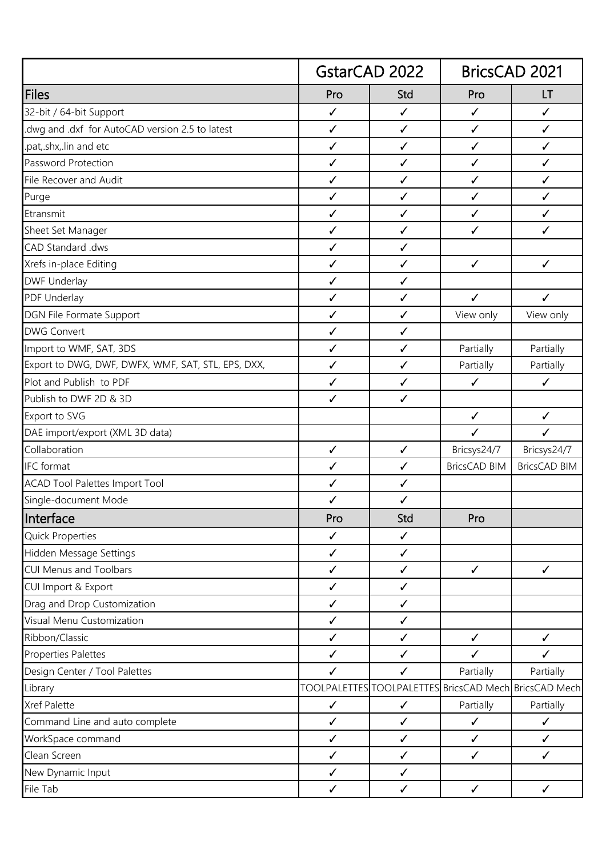|                                                    | <b>GstarCAD 2022</b> |              | <b>BricsCAD 2021</b>                                  |                     |
|----------------------------------------------------|----------------------|--------------|-------------------------------------------------------|---------------------|
| <b>Files</b>                                       | Pro                  | Std          | Pro                                                   | LT                  |
| 32-bit / 64-bit Support                            | ✓                    | $\checkmark$ | $\checkmark$                                          | ✓                   |
| dwg and .dxf for AutoCAD version 2.5 to latest     | $\checkmark$         | $\checkmark$ | ✓                                                     | $\checkmark$        |
| .pat,.shx,.lin and etc                             | $\checkmark$         | $\checkmark$ | ✓                                                     | $\checkmark$        |
| Password Protection                                | $\checkmark$         | $\checkmark$ | $\checkmark$                                          | $\checkmark$        |
| File Recover and Audit                             | $\checkmark$         | $\checkmark$ | $\checkmark$                                          | $\checkmark$        |
| Purge                                              | $\checkmark$         | $\checkmark$ | $\checkmark$                                          | ✓                   |
| Etransmit                                          | $\checkmark$         | $\checkmark$ | $\checkmark$                                          | $\checkmark$        |
| Sheet Set Manager                                  | $\checkmark$         | $\checkmark$ | $\checkmark$                                          | ✓                   |
| CAD Standard .dws                                  | ✓                    | $\checkmark$ |                                                       |                     |
| Xrefs in-place Editing                             | $\checkmark$         | $\checkmark$ | $\checkmark$                                          | $\checkmark$        |
| <b>DWF Underlay</b>                                | $\checkmark$         | $\checkmark$ |                                                       |                     |
| PDF Underlay                                       | ✓                    | $\checkmark$ | $\checkmark$                                          | $\checkmark$        |
| DGN File Formate Support                           | $\checkmark$         | $\checkmark$ | View only                                             | View only           |
| <b>DWG Convert</b>                                 | ✓                    | $\checkmark$ |                                                       |                     |
| Import to WMF, SAT, 3DS                            | $\checkmark$         | $\checkmark$ | Partially                                             | Partially           |
| Export to DWG, DWF, DWFX, WMF, SAT, STL, EPS, DXX, | $\checkmark$         | $\checkmark$ | Partially                                             | Partially           |
| Plot and Publish to PDF                            | $\checkmark$         | $\checkmark$ | $\checkmark$                                          | $\checkmark$        |
| Publish to DWF 2D & 3D                             | ✓                    | $\checkmark$ |                                                       |                     |
| Export to SVG                                      |                      |              | $\checkmark$                                          | $\checkmark$        |
| DAE import/export (XML 3D data)                    |                      |              | $\checkmark$                                          | $\checkmark$        |
| Collaboration                                      | $\checkmark$         | $\checkmark$ | Bricsys24/7                                           | Bricsys24/7         |
| IFC format                                         | ✓                    | $\checkmark$ | <b>BricsCAD BIM</b>                                   | <b>BricsCAD BIM</b> |
| <b>ACAD Tool Palettes Import Tool</b>              | ✓                    | $\checkmark$ |                                                       |                     |
| Single-document Mode                               | ✓                    | $\checkmark$ |                                                       |                     |
| Interface                                          | Pro                  | Std          | Pro                                                   |                     |
| <b>Quick Properties</b>                            | ✓                    | $\checkmark$ |                                                       |                     |
| Hidden Message Settings                            | $\checkmark$         | $\checkmark$ |                                                       |                     |
| CUI Menus and Toolbars                             | $\checkmark$         | $\checkmark$ | $\checkmark$                                          | $\checkmark$        |
| CUI Import & Export                                | $\checkmark$         | $\checkmark$ |                                                       |                     |
| Drag and Drop Customization                        | $\checkmark$         | $\checkmark$ |                                                       |                     |
| Visual Menu Customization                          | $\checkmark$         | $\checkmark$ |                                                       |                     |
| Ribbon/Classic                                     | $\checkmark$         | $\checkmark$ | $\checkmark$                                          | $\checkmark$        |
| Properties Palettes                                | $\checkmark$         | $\checkmark$ | $\checkmark$                                          | ✓                   |
| Design Center / Tool Palettes                      | $\checkmark$         | $\checkmark$ | Partially                                             | Partially           |
| Library                                            |                      |              | TOOLPALETTES TOOLPALETTES BricsCAD Mech BricsCAD Mech |                     |
| Xref Palette                                       | $\checkmark$         | $\checkmark$ | Partially                                             | Partially           |
| Command Line and auto complete                     | $\checkmark$         | $\checkmark$ | $\checkmark$                                          | $\checkmark$        |
| WorkSpace command                                  | $\checkmark$         | $\checkmark$ | $\checkmark$                                          | $\checkmark$        |
| Clean Screen                                       | $\checkmark$         | $\checkmark$ | $\checkmark$                                          | $\checkmark$        |
| New Dynamic Input                                  | $\checkmark$         | $\checkmark$ |                                                       |                     |
| File Tab                                           | $\checkmark$         | $\checkmark$ | ✓                                                     | $\checkmark$        |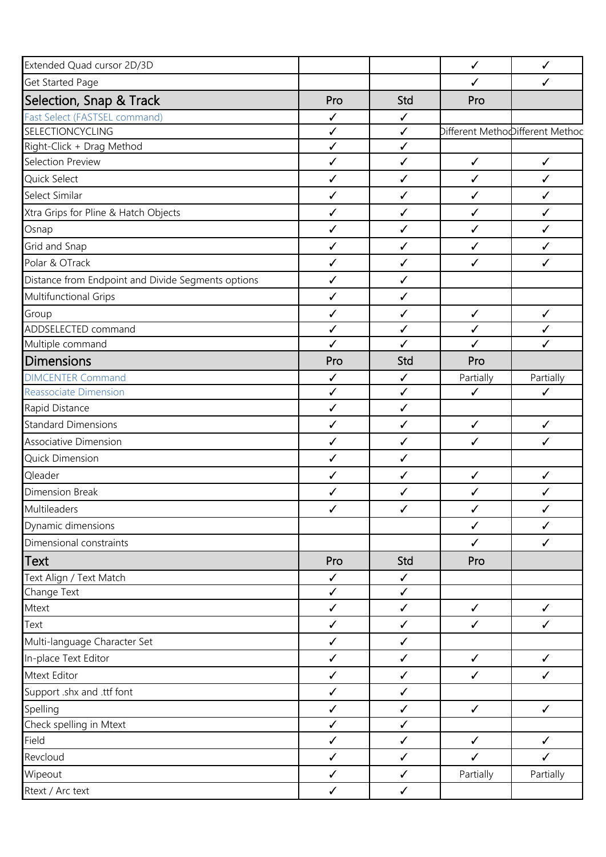| Extended Quad cursor 2D/3D                         |              |              | $\checkmark$ | $\checkmark$                    |
|----------------------------------------------------|--------------|--------------|--------------|---------------------------------|
| Get Started Page                                   |              |              | ✓            | ✓                               |
| Selection, Snap & Track                            | Pro          | Std          | Pro          |                                 |
| Fast Select (FASTSEL command)                      | $\checkmark$ | $\checkmark$ |              |                                 |
| SELECTIONCYCLING                                   | $\checkmark$ | $\checkmark$ |              | Different MethoDifferent Method |
| Right-Click + Drag Method                          | $\checkmark$ | $\checkmark$ |              |                                 |
| Selection Preview                                  | $\checkmark$ | $\checkmark$ | $\checkmark$ | $\checkmark$                    |
| Quick Select                                       | $\checkmark$ | $\checkmark$ | $\checkmark$ | $\checkmark$                    |
| Select Similar                                     | $\checkmark$ | $\checkmark$ | $\checkmark$ | ✓                               |
| Xtra Grips for Pline & Hatch Objects               | $\checkmark$ | $\checkmark$ | $\checkmark$ | $\checkmark$                    |
| Osnap                                              | $\checkmark$ | $\checkmark$ | $\checkmark$ | $\checkmark$                    |
| Grid and Snap                                      | $\checkmark$ | $\checkmark$ | $\checkmark$ | $\checkmark$                    |
| Polar & OTrack                                     | $\checkmark$ | $\checkmark$ | $\checkmark$ | ✓                               |
| Distance from Endpoint and Divide Segments options | $\checkmark$ | $\checkmark$ |              |                                 |
| Multifunctional Grips                              | $\checkmark$ | $\checkmark$ |              |                                 |
| Group                                              | $\checkmark$ | $\checkmark$ | $\checkmark$ | $\checkmark$                    |
| ADDSELECTED command                                | $\checkmark$ | $\checkmark$ | $\checkmark$ | $\checkmark$                    |
| Multiple command                                   | $\checkmark$ | ✓            | $\checkmark$ | $\checkmark$                    |
| <b>Dimensions</b>                                  | Pro          | Std          | Pro          |                                 |
| <b>DIMCENTER Command</b>                           | $\checkmark$ | $\checkmark$ | Partially    | Partially                       |
| Reassociate Dimension                              | $\checkmark$ | $\checkmark$ | $\checkmark$ | ✓                               |
| Rapid Distance                                     | $\checkmark$ | $\checkmark$ |              |                                 |
| <b>Standard Dimensions</b>                         | $\checkmark$ | $\checkmark$ | $\checkmark$ | $\checkmark$                    |
| Associative Dimension                              | $\checkmark$ | $\checkmark$ | $\checkmark$ | $\checkmark$                    |
| Quick Dimension                                    | $\checkmark$ | $\checkmark$ |              |                                 |
| Qleader                                            | ✓            | $\checkmark$ | $\checkmark$ | $\checkmark$                    |
| <b>Dimension Break</b>                             | ✓            | ✓            | ✓            | ✓                               |
| Multileaders                                       | ✓            | $\checkmark$ | ✓            | ✓                               |
| Dynamic dimensions                                 |              |              | $\checkmark$ | $\checkmark$                    |
| Dimensional constraints                            |              |              | $\checkmark$ | $\checkmark$                    |
| <b>Text</b>                                        | Pro          | Std          | Pro          |                                 |
| Text Align / Text Match                            | $\checkmark$ | $\checkmark$ |              |                                 |
| Change Text                                        | $\checkmark$ | $\checkmark$ |              |                                 |
| Mtext                                              | $\checkmark$ | $\checkmark$ | $\checkmark$ | $\checkmark$                    |
| Text                                               | $\checkmark$ | $\checkmark$ | $\checkmark$ | $\checkmark$                    |
| Multi-language Character Set                       | $\checkmark$ | $\checkmark$ |              |                                 |
| In-place Text Editor                               | $\checkmark$ | $\checkmark$ | $\checkmark$ | $\checkmark$                    |
| Mtext Editor                                       | $\checkmark$ | $\checkmark$ | $\checkmark$ | $\checkmark$                    |
| Support .shx and .ttf font                         | $\checkmark$ | $\checkmark$ |              |                                 |
| Spelling                                           | $\checkmark$ | $\checkmark$ | $\checkmark$ | $\checkmark$                    |
| Check spelling in Mtext                            | $\checkmark$ | $\checkmark$ |              |                                 |
| Field                                              | $\checkmark$ | $\checkmark$ | $\checkmark$ | $\checkmark$                    |
| Revcloud                                           | $\checkmark$ | $\checkmark$ | $\checkmark$ | $\checkmark$                    |
| Wipeout                                            | $\checkmark$ | $\checkmark$ | Partially    | Partially                       |
| Rtext / Arc text                                   | $\checkmark$ | $\checkmark$ |              |                                 |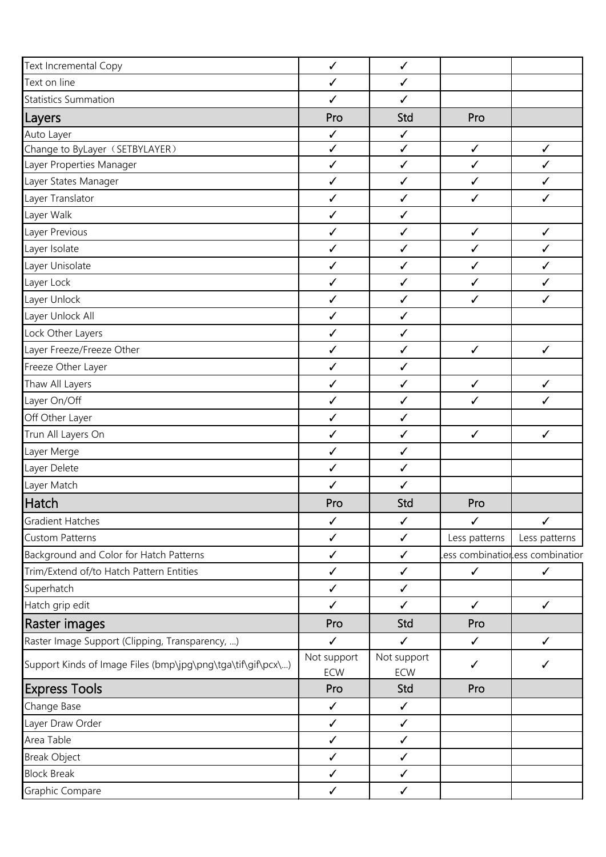| Text Incremental Copy                                       | $\checkmark$       | $\checkmark$       |               |                                |
|-------------------------------------------------------------|--------------------|--------------------|---------------|--------------------------------|
| Text on line                                                | $\checkmark$       | $\checkmark$       |               |                                |
| <b>Statistics Summation</b>                                 | $\checkmark$       | $\checkmark$       |               |                                |
| Layers                                                      | Pro                | Std                | Pro           |                                |
| Auto Layer                                                  | $\checkmark$       | $\checkmark$       |               |                                |
| Change to ByLayer (SETBYLAYER)                              | $\checkmark$       | $\checkmark$       | $\checkmark$  | $\checkmark$                   |
| Layer Properties Manager                                    | $\checkmark$       | $\checkmark$       | $\checkmark$  | $\checkmark$                   |
| Layer States Manager                                        | $\checkmark$       | $\checkmark$       | $\checkmark$  | $\checkmark$                   |
| Layer Translator                                            | $\checkmark$       | $\checkmark$       | $\checkmark$  | $\checkmark$                   |
| Layer Walk                                                  | $\checkmark$       | $\checkmark$       |               |                                |
| Layer Previous                                              | $\checkmark$       | $\checkmark$       | $\checkmark$  | $\checkmark$                   |
| Layer Isolate                                               | $\checkmark$       | $\checkmark$       | $\checkmark$  | $\checkmark$                   |
| Layer Unisolate                                             | $\checkmark$       | $\checkmark$       | $\checkmark$  | $\checkmark$                   |
| Layer Lock                                                  | $\checkmark$       | $\checkmark$       | $\checkmark$  | $\checkmark$                   |
| Layer Unlock                                                | $\checkmark$       | $\checkmark$       | $\checkmark$  | ✓                              |
| Layer Unlock All                                            | $\checkmark$       | $\checkmark$       |               |                                |
| Lock Other Layers                                           | $\checkmark$       | $\checkmark$       |               |                                |
| Layer Freeze/Freeze Other                                   | $\checkmark$       | $\checkmark$       | $\checkmark$  | $\checkmark$                   |
| Freeze Other Layer                                          | $\checkmark$       | $\checkmark$       |               |                                |
| Thaw All Layers                                             | $\checkmark$       | $\checkmark$       | $\checkmark$  | $\checkmark$                   |
| Layer On/Off                                                | $\checkmark$       | $\checkmark$       | $\checkmark$  | $\checkmark$                   |
| Off Other Layer                                             | $\checkmark$       | $\checkmark$       |               |                                |
| Trun All Layers On                                          | $\checkmark$       | $\checkmark$       | $\checkmark$  | $\checkmark$                   |
| Layer Merge                                                 | $\checkmark$       | $\checkmark$       |               |                                |
| Layer Delete                                                | $\checkmark$       | $\checkmark$       |               |                                |
| Layer Match                                                 | $\checkmark$       | $\checkmark$       |               |                                |
| Hatch                                                       | Pro                | Std                | Pro           |                                |
| <b>Gradient Hatches</b>                                     | $\checkmark$       | ✓                  | ✓             | ✓                              |
| <b>Custom Patterns</b>                                      | $\checkmark$       | $\checkmark$       | Less patterns | Less patterns                  |
| Background and Color for Hatch Patterns                     | $\checkmark$       | $\checkmark$       |               | ess combinationess combinatior |
| Trim/Extend of/to Hatch Pattern Entities                    | $\checkmark$       | $\checkmark$       | $\checkmark$  | $\checkmark$                   |
| Superhatch                                                  | $\checkmark$       | $\checkmark$       |               |                                |
| Hatch grip edit                                             | $\checkmark$       | $\checkmark$       | $\checkmark$  | $\checkmark$                   |
| Raster images                                               | Pro                | Std                | Pro           |                                |
| Raster Image Support (Clipping, Transparency, )             | $\checkmark$       | $\checkmark$       | $\checkmark$  | $\checkmark$                   |
| Support Kinds of Image Files (bmp\jpg\png\tga\tif\gif\pcx\) | Not support<br>ECW | Not support<br>ECW | ✓             | $\checkmark$                   |
| <b>Express Tools</b>                                        | Pro                | Std                | Pro           |                                |
| Change Base                                                 | $\checkmark$       | $\checkmark$       |               |                                |
| Layer Draw Order                                            | $\checkmark$       | $\checkmark$       |               |                                |
| Area Table                                                  | $\checkmark$       | $\checkmark$       |               |                                |
| <b>Break Object</b>                                         | $\checkmark$       | $\checkmark$       |               |                                |
| <b>Block Break</b>                                          | $\checkmark$       | $\checkmark$       |               |                                |
| Graphic Compare                                             | $\checkmark$       | $\checkmark$       |               |                                |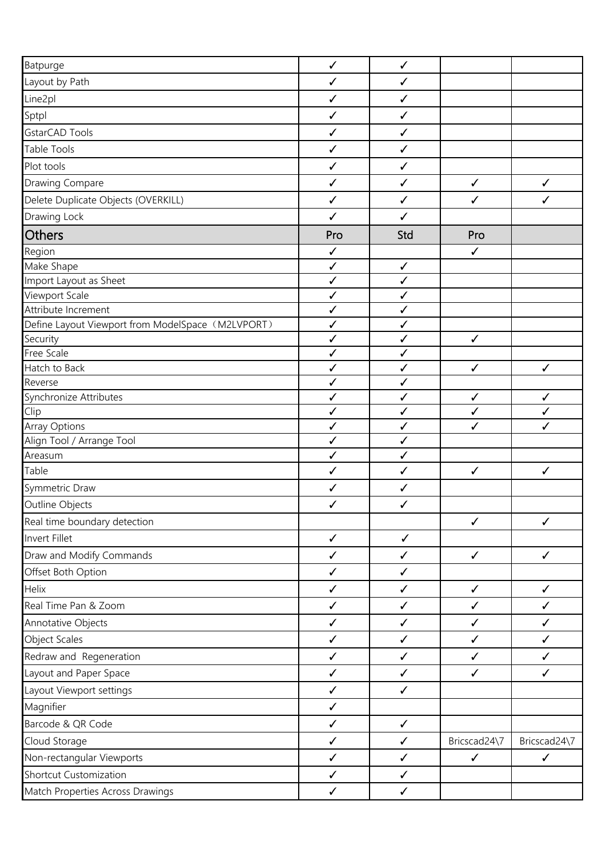| Batpurge                                          | $\checkmark$      | $\checkmark$                 |                   |              |
|---------------------------------------------------|-------------------|------------------------------|-------------------|--------------|
| Layout by Path                                    | $\checkmark$      | $\checkmark$                 |                   |              |
| Line2pl                                           | $\checkmark$      | $\checkmark$                 |                   |              |
| Sptpl                                             | $\checkmark$      | $\checkmark$                 |                   |              |
| GstarCAD Tools                                    | ✓                 | $\checkmark$                 |                   |              |
| <b>Table Tools</b>                                | ✓                 | $\checkmark$                 |                   |              |
| Plot tools                                        | $\checkmark$      | $\checkmark$                 |                   |              |
| <b>Drawing Compare</b>                            | $\checkmark$      | $\checkmark$                 | $\checkmark$      | $\checkmark$ |
| Delete Duplicate Objects (OVERKILL)               | ✓                 | $\checkmark$                 | $\checkmark$      | ✓            |
| Drawing Lock                                      | $\checkmark$      | $\checkmark$                 |                   |              |
| Others                                            | Pro               | Std                          | Pro               |              |
| Region                                            | $\checkmark$      |                              | $\checkmark$      |              |
| Make Shape                                        | ✓                 | $\checkmark$                 |                   |              |
| Import Layout as Sheet                            | $\checkmark$      | $\checkmark$                 |                   |              |
| Viewport Scale                                    | ✓                 | ✓                            |                   |              |
| Attribute Increment                               | ✓                 | $\checkmark$                 |                   |              |
| Define Layout Viewport from ModelSpace (M2LVPORT) | $\checkmark$      | $\checkmark$                 |                   |              |
| Security                                          | ✓                 | $\checkmark$                 | $\checkmark$      |              |
| Free Scale                                        | ✓                 | $\checkmark$                 |                   |              |
| Hatch to Back                                     | ✓                 | $\checkmark$                 | $\checkmark$      | $\checkmark$ |
| Reverse                                           | ✓                 | ✓                            |                   |              |
| Synchronize Attributes                            | $\checkmark$      | $\checkmark$                 | $\checkmark$      | $\checkmark$ |
| Clip<br><b>Array Options</b>                      | $\checkmark$<br>✓ | $\checkmark$<br>$\checkmark$ | $\checkmark$<br>✓ | ✓<br>✓       |
| Align Tool / Arrange Tool                         | $\checkmark$      | $\checkmark$                 |                   |              |
| Areasum                                           | ✓                 | $\checkmark$                 |                   |              |
| Table                                             | $\checkmark$      | $\checkmark$                 | $\checkmark$      | $\checkmark$ |
| Symmetric Draw                                    | ✓                 | $\checkmark$                 |                   |              |
| Outline Objects                                   | ✓                 | ✓                            |                   |              |
| Real time boundary detection                      |                   |                              | $\checkmark$      | $\checkmark$ |
| Invert Fillet                                     | $\checkmark$      | $\checkmark$                 |                   |              |
| Draw and Modify Commands                          | $\checkmark$      | $\checkmark$                 | $\checkmark$      | $\checkmark$ |
| Offset Both Option                                | $\checkmark$      | $\checkmark$                 |                   |              |
| Helix                                             | $\checkmark$      | $\checkmark$                 | $\checkmark$      | $\checkmark$ |
| Real Time Pan & Zoom                              | $\checkmark$      | $\checkmark$                 | $\checkmark$      | ✓            |
| Annotative Objects                                | $\checkmark$      | $\checkmark$                 | $\checkmark$      | $\checkmark$ |
| Object Scales                                     | $\checkmark$      | $\checkmark$                 | $\checkmark$      | $\checkmark$ |
| Redraw and Regeneration                           | $\checkmark$      | $\checkmark$                 | $\checkmark$      | $\checkmark$ |
| Layout and Paper Space                            | $\checkmark$      | $\checkmark$                 | $\checkmark$      | $\checkmark$ |
| Layout Viewport settings                          | $\checkmark$      | $\checkmark$                 |                   |              |
| Magnifier                                         | $\checkmark$      |                              |                   |              |
| Barcode & QR Code                                 | $\checkmark$      | $\checkmark$                 |                   |              |
| Cloud Storage                                     | $\checkmark$      | $\checkmark$                 | Bricscad24\7      | Bricscad24\7 |
| Non-rectangular Viewports                         | $\checkmark$      | $\checkmark$                 | $\checkmark$      | $\checkmark$ |
| <b>Shortcut Customization</b>                     | $\checkmark$      | $\checkmark$                 |                   |              |
| Match Properties Across Drawings                  | $\checkmark$      | $\checkmark$                 |                   |              |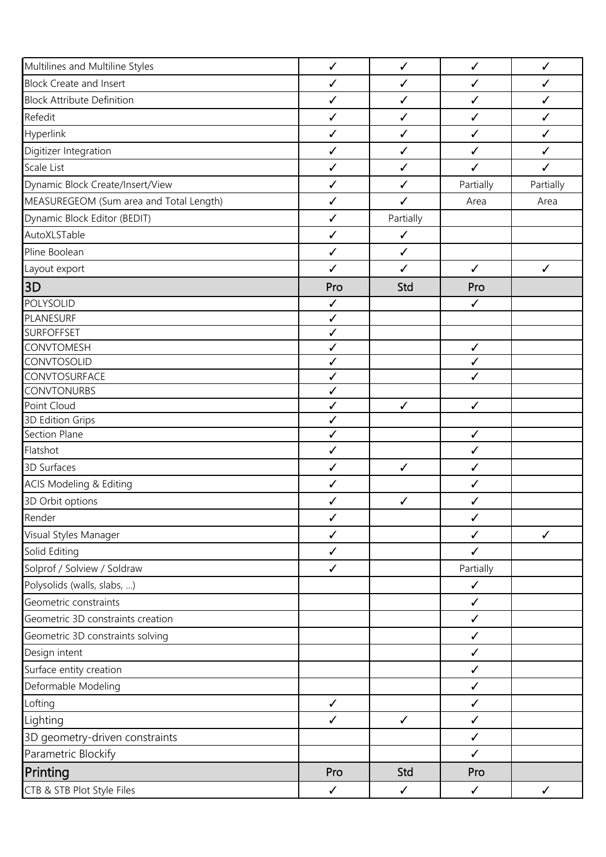| Multilines and Multiline Styles         | $\checkmark$ | $\checkmark$ | $\checkmark$ | $\checkmark$ |
|-----------------------------------------|--------------|--------------|--------------|--------------|
| <b>Block Create and Insert</b>          | $\checkmark$ | $\checkmark$ | $\checkmark$ | $\checkmark$ |
| <b>Block Attribute Definition</b>       | $\checkmark$ | $\checkmark$ | $\checkmark$ | $\checkmark$ |
| Refedit                                 | $\checkmark$ | $\checkmark$ | $\checkmark$ | $\checkmark$ |
| Hyperlink                               | $\checkmark$ | $\checkmark$ | $\checkmark$ | $\checkmark$ |
| Digitizer Integration                   | $\checkmark$ | $\checkmark$ | $\checkmark$ | $\checkmark$ |
| Scale List                              | $\checkmark$ | $\checkmark$ | $\checkmark$ | $\checkmark$ |
| Dynamic Block Create/Insert/View        | $\checkmark$ | $\checkmark$ | Partially    | Partially    |
| MEASUREGEOM (Sum area and Total Length) | $\checkmark$ | $\checkmark$ | Area         | Area         |
| Dynamic Block Editor (BEDIT)            | $\checkmark$ | Partially    |              |              |
| AutoXLSTable                            | $\checkmark$ | $\checkmark$ |              |              |
| Pline Boolean                           | $\checkmark$ | $\checkmark$ |              |              |
| Layout export                           | $\checkmark$ | $\checkmark$ | $\checkmark$ | $\checkmark$ |
| 3D                                      | Pro          | Std          | Pro          |              |
| POLYSOLID                               | $\checkmark$ |              | $\checkmark$ |              |
| <b>PLANESURF</b>                        | $\checkmark$ |              |              |              |
| <b>SURFOFFSET</b>                       | $\checkmark$ |              |              |              |
| <b>CONVTOMESH</b>                       | $\checkmark$ |              | $\checkmark$ |              |
| <b>CONVTOSOLID</b>                      | $\checkmark$ |              | $\checkmark$ |              |
| CONVTOSURFACE                           | $\checkmark$ |              | $\checkmark$ |              |
| <b>CONVTONURBS</b>                      | $\checkmark$ |              |              |              |
| Point Cloud                             | $\checkmark$ | $\checkmark$ | $\checkmark$ |              |
| 3D Edition Grips                        | $\checkmark$ |              |              |              |
| Section Plane                           | $\checkmark$ |              | $\checkmark$ |              |
| Flatshot                                | $\checkmark$ |              | $\checkmark$ |              |
| 3D Surfaces                             | $\checkmark$ | $\checkmark$ | $\checkmark$ |              |
| <b>ACIS Modeling &amp; Editing</b>      | $\checkmark$ |              | $\checkmark$ |              |
| 3D Orbit options                        | $\checkmark$ | $\checkmark$ | $\checkmark$ |              |
| Render                                  | $\checkmark$ |              | $\checkmark$ |              |
| Visual Styles Manager                   | $\checkmark$ |              | ✓            | $\checkmark$ |
| Solid Editing                           | $\checkmark$ |              | $\checkmark$ |              |
| Solprof / Solview / Soldraw             | $\checkmark$ |              | Partially    |              |
| Polysolids (walls, slabs, )             |              |              | $\checkmark$ |              |
| Geometric constraints                   |              |              | $\checkmark$ |              |
| Geometric 3D constraints creation       |              |              | $\checkmark$ |              |
| Geometric 3D constraints solving        |              |              | $\checkmark$ |              |
| Design intent                           |              |              | $\checkmark$ |              |
| Surface entity creation                 |              |              | $\checkmark$ |              |
| Deformable Modeling                     |              |              | $\checkmark$ |              |
| Lofting                                 | $\checkmark$ |              | $\checkmark$ |              |
| Lighting                                | $\checkmark$ | $\checkmark$ | $\checkmark$ |              |
| 3D geometry-driven constraints          |              |              | $\checkmark$ |              |
| Parametric Blockify                     |              |              | $\checkmark$ |              |
| Printing                                | Pro          | Std          | Pro          |              |
| CTB & STB Plot Style Files              | $\checkmark$ | $\checkmark$ | $\checkmark$ | $\checkmark$ |
|                                         |              |              |              |              |